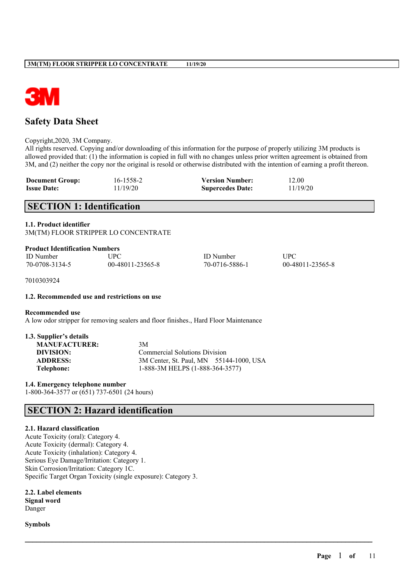

# **Safety Data Sheet**

### Copyright,2020, 3M Company.

All rights reserved. Copying and/or downloading of this information for the purpose of properly utilizing 3M products is allowed provided that: (1) the information is copied in full with no changes unless prior written agreement is obtained from 3M, and (2) neither the copy nor the original is resold or otherwise distributed with the intention of earning a profit thereon.

ID Number UPC ID Number UPC

70-0708-3134-5 00-48011-23565-8 70-0716-5886-1 00-48011-23565-8

 $\mathcal{L}_\mathcal{L} = \mathcal{L}_\mathcal{L} = \mathcal{L}_\mathcal{L} = \mathcal{L}_\mathcal{L} = \mathcal{L}_\mathcal{L} = \mathcal{L}_\mathcal{L} = \mathcal{L}_\mathcal{L} = \mathcal{L}_\mathcal{L} = \mathcal{L}_\mathcal{L} = \mathcal{L}_\mathcal{L} = \mathcal{L}_\mathcal{L} = \mathcal{L}_\mathcal{L} = \mathcal{L}_\mathcal{L} = \mathcal{L}_\mathcal{L} = \mathcal{L}_\mathcal{L} = \mathcal{L}_\mathcal{L} = \mathcal{L}_\mathcal{L}$ 

| <b>Document Group:</b> | 16-1558-2 | <b>Version Number:</b>  | 12.00    |
|------------------------|-----------|-------------------------|----------|
| <b>Issue Date:</b>     | 11/19/20  | <b>Supercedes Date:</b> | 11/19/20 |

# **SECTION 1: Identification**

### **1.1. Product identifier**

3M(TM) FLOOR STRIPPER LO CONCENTRATE

| <b>Product Identification Numbers</b> |  |
|---------------------------------------|--|
|---------------------------------------|--|

| <b>ID</b> Number | UPC              |
|------------------|------------------|
| 70-0708-3134-5   | 00-48011-23565-8 |

7010303924

### **1.2. Recommended use and restrictions on use**

### **Recommended use**

A low odor stripper for removing sealers and floor finishes., Hard Floor Maintenance

| 1.3. Supplier's details |                                         |  |
|-------------------------|-----------------------------------------|--|
| <b>MANUFACTURER:</b>    | 3M                                      |  |
| DIVISION:               | <b>Commercial Solutions Division</b>    |  |
| <b>ADDRESS:</b>         | 3M Center, St. Paul, MN 55144-1000, USA |  |
| Telephone:              | 1-888-3M HELPS (1-888-364-3577)         |  |

**1.4. Emergency telephone number** 1-800-364-3577 or (651) 737-6501 (24 hours)

# **SECTION 2: Hazard identification**

## **2.1. Hazard classification**

Acute Toxicity (oral): Category 4. Acute Toxicity (dermal): Category 4. Acute Toxicity (inhalation): Category 4. Serious Eye Damage/Irritation: Category 1. Skin Corrosion/Irritation: Category 1C. Specific Target Organ Toxicity (single exposure): Category 3.

**2.2. Label elements Signal word** Danger

**Symbols**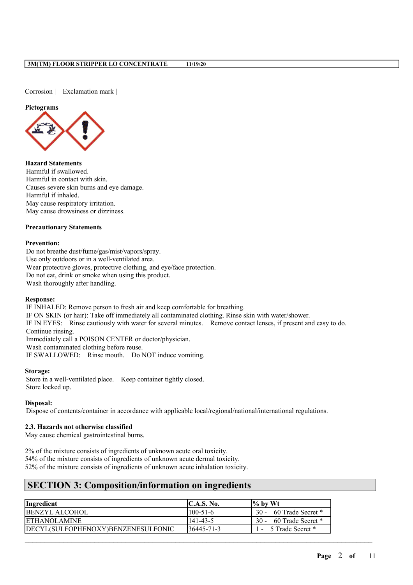Corrosion | Exclamation mark |

### **Pictograms**



**Hazard Statements** Harmful if swallowed. Harmful in contact with skin. Causes severe skin burns and eye damage. Harmful if inhaled. May cause respiratory irritation. May cause drowsiness or dizziness.

### **Precautionary Statements**

### **Prevention:**

Do not breathe dust/fume/gas/mist/vapors/spray. Use only outdoors or in a well-ventilated area. Wear protective gloves, protective clothing, and eye/face protection. Do not eat, drink or smoke when using this product. Wash thoroughly after handling.

### **Response:**

IF INHALED: Remove person to fresh air and keep comfortable for breathing. IF ON SKIN (or hair): Take off immediately all contaminated clothing. Rinse skin with water/shower. IF IN EYES: Rinse cautiously with water for several minutes. Remove contact lenses, if present and easy to do. Continue rinsing. Immediately call a POISON CENTER or doctor/physician. Wash contaminated clothing before reuse. IF SWALLOWED: Rinse mouth. Do NOT induce vomiting.

### **Storage:**

Store in a well-ventilated place. Keep container tightly closed. Store locked up.

### **Disposal:**

Dispose of contents/container in accordance with applicable local/regional/national/international regulations.

### **2.3. Hazards not otherwise classified**

May cause chemical gastrointestinal burns.

2% of the mixture consists of ingredients of unknown acute oral toxicity. 54% of the mixture consists of ingredients of unknown acute dermal toxicity. 52% of the mixture consists of ingredients of unknown acute inhalation toxicity.

# **SECTION 3: Composition/information on ingredients**

| <i>Ingredient</i>                  | C.A.S. No.        | l% by Wt               |
|------------------------------------|-------------------|------------------------|
| <b>IBENZYL ALCOHOL</b>             | $100-51-6$        | 30 - 60 Trade Secret * |
| <b>IETHANOLAMINE</b>               | $141-43-5$        | 30 - 60 Trade Secret * |
| DECYL(SULFOPHENOXY)BENZENESULFONIC | $136445 - 71 - 3$ | 5 Trade Secret *       |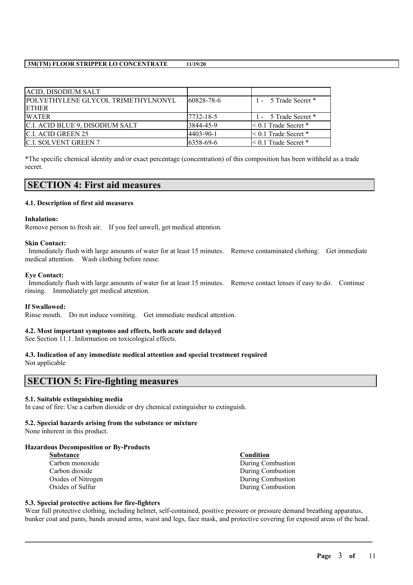| ACID, DISODIUM SALT                |                   |                             |
|------------------------------------|-------------------|-----------------------------|
| POLYETHYLENE GLYCOL TRIMETHYLNONYL | $160828 - 78 - 6$ | 1 - 5 Trade Secret *        |
| <b>ETHER</b>                       |                   |                             |
| <b>WATER</b>                       | 7732-18-5         | 1 - 5 Trade Secret *        |
| C.I. ACID BLUE 9, DISODIUM SALT    | 3844-45-9         | $\leq 0.1$ Trade Secret $*$ |
| <b>C.L. ACID GREEN 25</b>          | 4403-90-1         | $\leq 0.1$ Trade Secret *   |
| <b>C.I. SOLVENT GREEN 7</b>        | 6358-69-6         | $\leq 0.1$ Trade Secret $*$ |

\*The specific chemical identity and/or exact percentage (concentration) of this composition has been withheld as a trade secret.

## **SECTION 4: First aid measures**

### **4.1. Description of first aid measures**

### **Inhalation:**

Remove person to fresh air. If you feel unwell, get medical attention.

### **Skin Contact:**

Immediately flush with large amounts of water for at least 15 minutes. Remove contaminated clothing. Get immediate medical attention. Wash clothing before reuse.

### **Eye Contact:**

Immediately flush with large amounts of water for at least 15 minutes. Remove contact lenses if easy to do. Continue rinsing. Immediately get medical attention.

### **If Swallowed:**

Rinse mouth. Do not induce vomiting. Get immediate medical attention.

## **4.2. Most important symptoms and effects, both acute and delayed**

See Section 11.1. Information on toxicological effects.

## **4.3. Indication of any immediate medical attention and special treatment required**

Not applicable

## **SECTION 5: Fire-fighting measures**

### **5.1. Suitable extinguishing media**

In case of fire: Use a carbon dioxide or dry chemical extinguisher to extinguish.

### **5.2. Special hazards arising from the substance or mixture**

None inherent in this product.

### **Hazardous Decomposition or By-Products**

| <b>Substance</b>   |  |
|--------------------|--|
| Carbon monoxide    |  |
| Carbon dioxide     |  |
| Oxides of Nitrogen |  |
| Oxides of Sulfur   |  |

**Condition** During Combustion During Combustion During Combustion During Combustion

### **5.3. Special protective actions for fire-fighters**

Wear full protective clothing, including helmet, self-contained, positive pressure or pressure demand breathing apparatus, bunker coat and pants, bands around arms, waist and legs, face mask, and protective covering for exposed areas of the head.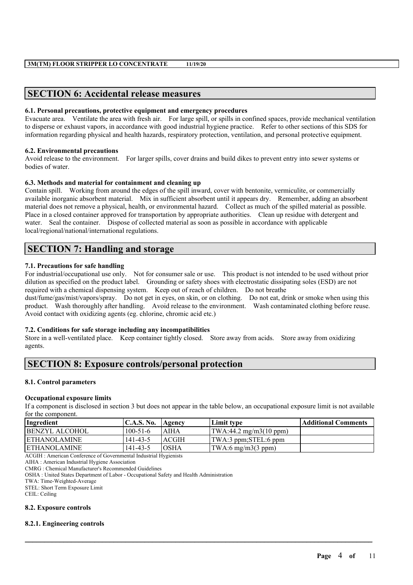# **SECTION 6: Accidental release measures**

## **6.1. Personal precautions, protective equipment and emergency procedures**

Evacuate area. Ventilate the area with fresh air. For large spill, or spills in confined spaces, provide mechanical ventilation to disperse or exhaust vapors, in accordance with good industrial hygiene practice. Refer to other sections of this SDS for information regarding physical and health hazards, respiratory protection, ventilation, and personal protective equipment.

## **6.2. Environmental precautions**

Avoid release to the environment. For larger spills, cover drains and build dikes to prevent entry into sewer systems or bodies of water.

## **6.3. Methods and material for containment and cleaning up**

Contain spill. Working from around the edges of the spill inward, cover with bentonite, vermiculite, or commercially available inorganic absorbent material. Mix in sufficient absorbent until it appears dry. Remember, adding an absorbent material does not remove a physical, health, or environmental hazard. Collect as much of the spilled material as possible. Place in a closed container approved for transportation by appropriate authorities. Clean up residue with detergent and water. Seal the container. Dispose of collected material as soon as possible in accordance with applicable local/regional/national/international regulations.

# **SECTION 7: Handling and storage**

## **7.1. Precautions for safe handling**

For industrial/occupational use only. Not for consumer sale or use. This product is not intended to be used without prior dilution as specified on the product label. Grounding or safety shoes with electrostatic dissipating soles (ESD) are not required with a chemical dispensing system. Keep out of reach of children. Do not breathe

dust/fume/gas/mist/vapors/spray. Do not get in eyes, on skin, or on clothing. Do not eat, drink or smoke when using this product. Wash thoroughly after handling. Avoid release to the environment. Wash contaminated clothing before reuse. Avoid contact with oxidizing agents (eg. chlorine, chromic acid etc.)

## **7.2. Conditions for safe storage including any incompatibilities**

Store in a well-ventilated place. Keep container tightly closed. Store away from acids. Store away from oxidizing agents.

# **SECTION 8: Exposure controls/personal protection**

## **8.1. Control parameters**

## **Occupational exposure limits**

If a component is disclosed in section 3 but does not appear in the table below, an occupational exposure limit is not available for the component.

| Ingredient                                                        | <b>C.A.S. No.</b> | Agency       | Limit type                                           | <b>Additional Comments</b> |
|-------------------------------------------------------------------|-------------------|--------------|------------------------------------------------------|----------------------------|
| <b>BENZYL ALCOHOL</b>                                             | $100 - 51 - 6$    | <b>AIHA</b>  | $\text{TWA}:44.2 \text{ mg/m3}(10 \text{ ppm})$      |                            |
| <b>IETHANOLAMINE</b>                                              | $141 - 43 - 5$    | <b>ACGIH</b> | $\text{TWA}:3 \text{ ppm};\text{STEL}:6 \text{ ppm}$ |                            |
| <b>ETHANOLAMINE</b>                                               | $141 - 43 - 5$    | IOSHA        | $\text{TWA:6 mg/m3}(3 \text{ ppm})$                  |                            |
| $\sim$ $\sim$ $\sim$ $\sim$ $\sim$ $\sim$ $\sim$<br>$\sim$ $\sim$ |                   |              |                                                      |                            |

 $\mathcal{L}_\mathcal{L} = \mathcal{L}_\mathcal{L} = \mathcal{L}_\mathcal{L} = \mathcal{L}_\mathcal{L} = \mathcal{L}_\mathcal{L} = \mathcal{L}_\mathcal{L} = \mathcal{L}_\mathcal{L} = \mathcal{L}_\mathcal{L} = \mathcal{L}_\mathcal{L} = \mathcal{L}_\mathcal{L} = \mathcal{L}_\mathcal{L} = \mathcal{L}_\mathcal{L} = \mathcal{L}_\mathcal{L} = \mathcal{L}_\mathcal{L} = \mathcal{L}_\mathcal{L} = \mathcal{L}_\mathcal{L} = \mathcal{L}_\mathcal{L}$ 

ACGIH : American Conference of Governmental Industrial Hygienists

AIHA : American Industrial Hygiene Association CMRG : Chemical Manufacturer's Recommended Guidelines

OSHA : United States Department of Labor - Occupational Safety and Health Administration

TWA: Time-Weighted-Average

STEL: Short Term Exposure Limit

CEIL: Ceiling

## **8.2. Exposure controls**

## **8.2.1. Engineering controls**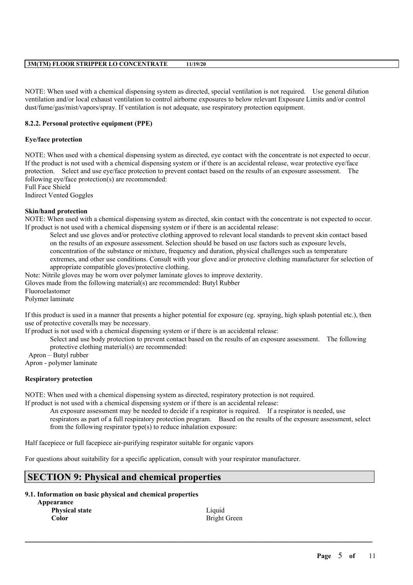NOTE: When used with a chemical dispensing system as directed, special ventilation is not required. Use general dilution ventilation and/or local exhaust ventilation to control airborne exposures to below relevant Exposure Limits and/or control dust/fume/gas/mist/vapors/spray. If ventilation is not adequate, use respiratory protection equipment.

## **8.2.2. Personal protective equipment (PPE)**

## **Eye/face protection**

NOTE: When used with a chemical dispensing system as directed, eye contact with the concentrate is not expected to occur. If the product is not used with a chemical dispensing system or if there is an accidental release, wear protective eye/face protection. Select and use eye/face protection to prevent contact based on the results of an exposure assessment. The following eye/face protection(s) are recommended:

Full Face Shield

Indirect Vented Goggles

## **Skin/hand protection**

NOTE: When used with a chemical dispensing system as directed, skin contact with the concentrate is not expected to occur. If product is not used with a chemical dispensing system or if there is an accidental release:

Select and use gloves and/or protective clothing approved to relevant local standards to prevent skin contact based on the results of an exposure assessment. Selection should be based on use factors such as exposure levels, concentration of the substance or mixture, frequency and duration, physical challenges such as temperature extremes, and other use conditions. Consult with your glove and/or protective clothing manufacturer for selection of appropriate compatible gloves/protective clothing.

Note: Nitrile gloves may be worn over polymer laminate gloves to improve dexterity.

Gloves made from the following material(s) are recommended: Butyl Rubber

Fluoroelastomer

Polymer laminate

If this product is used in a manner that presents a higher potential for exposure (eg. spraying, high splash potential etc.), then use of protective coveralls may be necessary.

If product is not used with a chemical dispensing system or if there is an accidental release:

Select and use body protection to prevent contact based on the results of an exposure assessment. The following protective clothing material(s) are recommended:

Apron – Butyl rubber

Apron - polymer laminate

## **Respiratory protection**

NOTE: When used with a chemical dispensing system as directed, respiratory protection is not required.

If product is not used with a chemical dispensing system or if there is an accidental release:

An exposure assessment may be needed to decide if a respirator is required. If a respirator is needed, use respirators as part of a full respiratory protection program. Based on the results of the exposure assessment, select from the following respirator type(s) to reduce inhalation exposure:

Half facepiece or full facepiece air-purifying respirator suitable for organic vapors

For questions about suitability for a specific application, consult with your respirator manufacturer.

# **SECTION 9: Physical and chemical properties**

## **9.1. Information on basic physical and chemical properties**

**Appearance Physical state Color**

Liquid Bright Green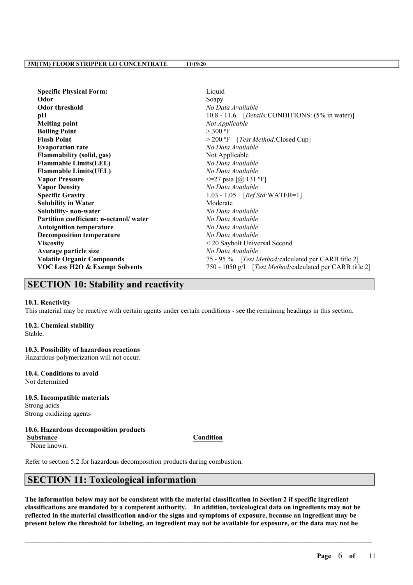**Specific Physical Form:** Liquid **Odor** Soapy **Odor threshold** *No Data Available* **Melting point** *Not Applicable* **Boiling Point**  $>$  300 °F **Flash Point** > 200 ºF [*Test Method:*Closed Cup] **Evaporation rate** *No Data Available* **Flammability** (solid, gas) Not Applicable **Flammable Limits(LEL)** *No Data Available* **Flammable Limits(UEL)** *No Data Available* **Vapor Pressure**  $\leq$  27 psia  $\lceil \omega \rceil$  131 °F] **Vapor Density** *No Data Available* **Specific Gravity** 1.03 - 1.05 [*Ref Std:*WATER=1] **Solubility** in Water Moderate **Solubility- non-water** *No Data Available* **Partition coefficient: n-octanol/ water** *No Data Available* **Autoignition temperature** *No Data Available* **Decomposition temperature** *No Data Available* **Viscosity** < 20 Saybolt Universal Second **Average particle size** *No Data Available*

**pH** 10.8 - 11.6 *[Details:CONDITIONS: (5% in water)]* **Volatile Organic Compounds** 75 - 95 % [*Test Method:*calculated per CARB title 2] **VOC Less H2O & Exempt Solvents** 750 - 1050 g/l [*Test Method:*calculated per CARB title 2]

## **SECTION 10: Stability and reactivity**

### **10.1. Reactivity**

This material may be reactive with certain agents under certain conditions - see the remaining headings in this section.

# **10.2. Chemical stability**

Stable.

#### **10.3. Possibility of hazardous reactions** Hazardous polymerization will not occur.

**10.4. Conditions to avoid** Not determined

**10.5. Incompatible materials** Strong acids Strong oxidizing agents

**10.6. Hazardous decomposition products Substance Condition**

None known.

Refer to section 5.2 for hazardous decomposition products during combustion.

# **SECTION 11: Toxicological information**

The information below may not be consistent with the material classification in Section 2 if specific ingredient **classifications are mandated by a competent authority. In addition, toxicological data on ingredients may not be** reflected in the material classification and/or the signs and symptoms of exposure, because an ingredient may be present below the threshold for labeling, an ingredient may not be available for exposure, or the data may not be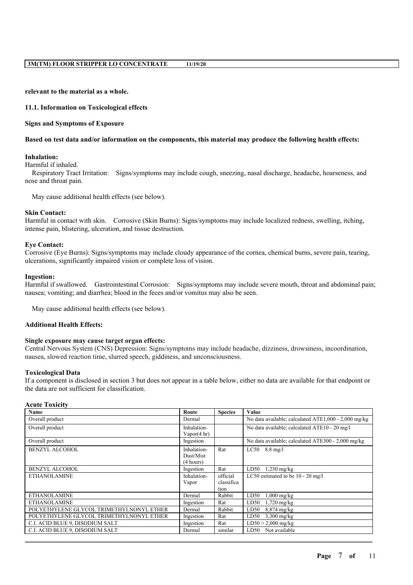### **relevant to the material as a whole.**

### **11.1. Information on Toxicological effects**

### **Signs and Symptoms of Exposure**

### Based on test data and/or information on the components, this material may produce the following health effects:

## **Inhalation:**

Harmful if inhaled.

Respiratory Tract Irritation: Signs/symptoms may include cough, sneezing, nasal discharge, headache, hoarseness, and nose and throat pain.

May cause additional health effects (see below).

### **Skin Contact:**

Harmful in contact with skin. Corrosive (Skin Burns): Signs/symptoms may include localized redness, swelling, itching, intense pain, blistering, ulceration, and tissue destruction.

### **Eye Contact:**

Corrosive (Eye Burns): Signs/symptoms may include cloudy appearance of the cornea, chemical burns, severe pain, tearing, ulcerations, significantly impaired vision or complete loss of vision.

### **Ingestion:**

Harmful if swallowed. Gastrointestinal Corrosion: Signs/symptoms may include severe mouth, throat and abdominal pain; nausea; vomiting; and diarrhea; blood in the feces and/or vomitus may also be seen.

May cause additional health effects (see below).

### **Additional Health Effects:**

### **Single exposure may cause target organ effects:**

Central Nervous System (CNS) Depression: Signs/symptoms may include headache, dizziness, drowsiness, incoordination, nausea, slowed reaction time, slurred speech, giddiness, and unconsciousness.

### **Toxicological Data**

If a component is disclosed in section 3 but does not appear in a table below, either no data are available for that endpoint or the data are not sufficient for classification.

### **Acute Toxicity**

| Name                                     | Route                                 | <b>Species</b>                 | Value                                                |
|------------------------------------------|---------------------------------------|--------------------------------|------------------------------------------------------|
| Overall product                          | Dermal                                |                                | No data available; calculated ATE1,000 - 2,000 mg/kg |
| Overall product                          | Inhalation-<br>Vapor $(4 \text{ hr})$ |                                | No data available; calculated ATE10 - 20 mg/l        |
| Overall product                          | Ingestion                             |                                | No data available; calculated ATE300 - 2,000 mg/kg   |
| <b>BENZYL ALCOHOL</b>                    | Inhalation-<br>Dust/Mist<br>(4 hours) | Rat                            | $LC50$ 8.8 mg/l                                      |
| <b>BENZYL ALCOHOL</b>                    | Ingestion                             | Rat                            | $1,230$ mg/kg<br>LD50                                |
| <b>ETHANOLAMINE</b>                      | Inhalation-<br>Vapor                  | official<br>classifica<br>tion | LC50 estimated to be $10 - 20$ mg/l                  |
| <b>ETHANOLAMINE</b>                      | Dermal                                | Rabbit                         | $1,000$ mg/kg<br>LD50                                |
| <b>ETHANOLAMINE</b>                      | Ingestion                             | Rat                            | $1,720$ mg/kg<br>LD50                                |
| POLYETHYLENE GLYCOL TRIMETHYLNONYL ETHER | Dermal                                | Rabbit                         | 8,874 mg/kg<br>LD50                                  |
| POLYETHYLENE GLYCOL TRIMETHYLNONYL ETHER | Ingestion                             | Rat                            | $3,300$ mg/kg<br>LD50                                |
| C.I. ACID BLUE 9, DISODIUM SALT          | Ingestion                             | Rat                            | $LD50 > 2,000$ mg/kg                                 |
| C.I. ACID BLUE 9, DISODIUM SALT          | Dermal                                | similar                        | Not available<br>LD50                                |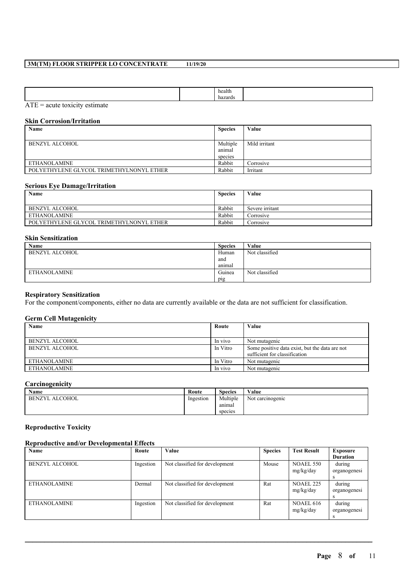|                                                                                                   | health<br>hazards<br> |  |
|---------------------------------------------------------------------------------------------------|-----------------------|--|
| $\sim$<br>A<br>--<br>00<br>н<br>$\overline{\phantom{a}}$<br>aс<br>uu<br>X I L<br>71 L<br>$\cdots$ |                       |  |

#### **Skin Corrosion/Irritation**

| Name                                     | <b>Species</b>     | Value         |
|------------------------------------------|--------------------|---------------|
|                                          |                    |               |
| BENZYL ALCOHOL                           | Multiple<br>anımal | Mild irritant |
|                                          | species            |               |
| ETHANOLAMINE                             | Rabbit             | Corrosive     |
| POLYETHYLENE GLYCOL TRIMETHYLNONYL ETHER | Rabbit             | Irritant      |

## **Serious Eye Damage/Irritation**

| Name                                     | <b>Species</b> | Value           |
|------------------------------------------|----------------|-----------------|
| BENZYL ALCOHOL                           | Rabbit         | Severe irritant |
| <b>ETHANOLAMINE</b>                      | Rabbit         | Corrosive       |
| POLYETHYLENE GLYCOL TRIMETHYLNONYL ETHER | Rabbit         | Corrosive       |

### **Skin Sensitization**

| Name                | <b>Species</b> | Value          |
|---------------------|----------------|----------------|
| BENZYL ALCOHOL      | Human          | Not classified |
|                     | and            |                |
|                     | animal         |                |
| <b>ETHANOLAMINE</b> | Guinea         | Not classified |
|                     | pig            |                |

### **Respiratory Sensitization**

For the component/components, either no data are currently available or the data are not sufficient for classification.

### **Germ Cell Mutagenicity**

| Name           | Route    | Value                                          |
|----------------|----------|------------------------------------------------|
|                |          |                                                |
| BENZYL ALCOHOL | In vivo  | Not mutagenic                                  |
| BENZYL ALCOHOL | In Vitro | Some positive data exist, but the data are not |
|                |          | sufficient for classification                  |
| ETHANOLAMINE   | In Vitro | Not mutagenic                                  |
| ETHANOLAMINE   | In vivo  | Not mutagenic                                  |

## **Carcinogenicity**

| <b>Name</b>                     | Route     | $\sim$<br><b>Species</b> | $\cdots$<br>Value |
|---------------------------------|-----------|--------------------------|-------------------|
| <b>ALCOHOL</b><br><b>BENZYL</b> | Ingestion | Multiple                 | Not carcinogenic  |
|                                 |           | anımal                   |                   |
|                                 |           | species                  |                   |

## **Reproductive Toxicity**

### **Reproductive and/or Developmental Effects**

| Name                  | Route     | <b>Value</b>                   | <b>Species</b> | <b>Test Result</b>     | <b>Exposure</b><br><b>Duration</b> |
|-----------------------|-----------|--------------------------------|----------------|------------------------|------------------------------------|
| <b>BENZYL ALCOHOL</b> | Ingestion | Not classified for development | Mouse          | NOAEL 550<br>mg/kg/day | during<br>organogenesi             |
| <b>ETHANOLAMINE</b>   | Dermal    | Not classified for development | Rat            | NOAEL 225<br>mg/kg/day | during<br>organogenesi             |
| <b>ETHANOLAMINE</b>   | Ingestion | Not classified for development | Rat            | NOAEL 616<br>mg/kg/day | during<br>organogenesi             |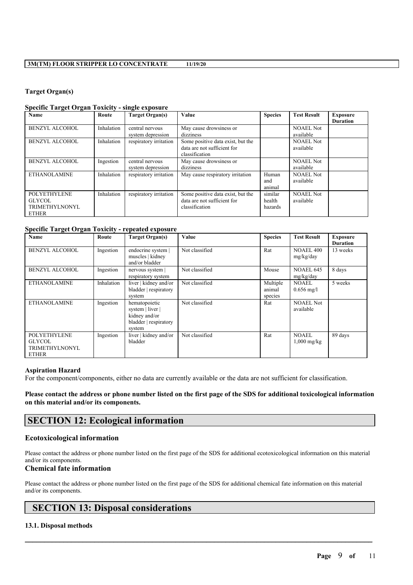## **Target Organ(s)**

## **Specific Target Organ Toxicity - single exposure**

| Name                                                                          | Route      | Target Organ(s)                      | <b>Value</b>                                                                       | <b>Species</b>               | <b>Test Result</b>            | <b>Exposure</b><br><b>Duration</b> |
|-------------------------------------------------------------------------------|------------|--------------------------------------|------------------------------------------------------------------------------------|------------------------------|-------------------------------|------------------------------------|
| <b>BENZYL ALCOHOL</b>                                                         | Inhalation | central nervous<br>system depression | May cause drowsiness or<br>dizziness                                               |                              | <b>NOAEL Not</b><br>available |                                    |
| <b>BENZYL ALCOHOL</b>                                                         | Inhalation | respiratory irritation               | Some positive data exist, but the<br>data are not sufficient for<br>classification |                              | <b>NOAEL Not</b><br>available |                                    |
| <b>BENZYL ALCOHOL</b>                                                         | Ingestion  | central nervous<br>system depression | May cause drowsiness or<br>dizziness                                               |                              | <b>NOAEL Not</b><br>available |                                    |
| <b>ETHANOLAMINE</b>                                                           | Inhalation | respiratory irritation               | May cause respiratory irritation                                                   | Human<br>and<br>animal       | <b>NOAEL Not</b><br>available |                                    |
| <b>POLYETHYLENE</b><br><b>GLYCOL</b><br><b>TRIMETHYLNONYL</b><br><b>ETHER</b> | Inhalation | respiratory irritation               | Some positive data exist, but the<br>data are not sufficient for<br>classification | similar<br>health<br>hazards | <b>NOAEL Not</b><br>available |                                    |

## **Specific Target Organ Toxicity - repeated exposure**

| Name                                                                          | Route      | <b>Target Organ(s)</b>                                                                | Value          | <b>Species</b>                | <b>Test Result</b>                   | <b>Exposure</b><br><b>Duration</b> |
|-------------------------------------------------------------------------------|------------|---------------------------------------------------------------------------------------|----------------|-------------------------------|--------------------------------------|------------------------------------|
| <b>BENZYL ALCOHOL</b>                                                         | Ingestion  | endocrine system  <br>muscles   kidney<br>and/or bladder                              | Not classified | Rat                           | <b>NOAEL 400</b><br>mg/kg/day        | 13 weeks                           |
| <b>BENZYL ALCOHOL</b>                                                         | Ingestion  | nervous system<br>respiratory system                                                  | Not classified | Mouse                         | <b>NOAEL 645</b><br>mg/kg/day        | 8 days                             |
| <b>ETHANOLAMINE</b>                                                           | Inhalation | liver   kidney and/or<br>bladder   respiratory<br>system                              | Not classified | Multiple<br>animal<br>species | <b>NOAEL</b><br>$0.656 \text{ mg/l}$ | 5 weeks                            |
| <b>ETHANOLAMINE</b>                                                           | Ingestion  | hematopoietic<br>system   liver  <br>kidney and/or<br>bladder   respiratory<br>system | Not classified | Rat                           | <b>NOAEL Not</b><br>available        |                                    |
| <b>POLYETHYLENE</b><br><b>GLYCOL</b><br><b>TRIMETHYLNONYL</b><br><b>ETHER</b> | Ingestion  | liver   kidney and/or<br>bladder                                                      | Not classified | Rat                           | <b>NOAEL</b><br>$1,000$ mg/kg        | 89 days                            |

## **Aspiration Hazard**

For the component/components, either no data are currently available or the data are not sufficient for classification.

Please contact the address or phone number listed on the first page of the SDS for additional toxicological information **on this material and/or its components.**

# **SECTION 12: Ecological information**

## **Ecotoxicological information**

Please contact the address or phone number listed on the first page of the SDS for additional ecotoxicological information on this material and/or its components.

## **Chemical fate information**

Please contact the address or phone number listed on the first page of the SDS for additional chemical fate information on this material and/or its components.

 $\mathcal{L}_\mathcal{L} = \mathcal{L}_\mathcal{L} = \mathcal{L}_\mathcal{L} = \mathcal{L}_\mathcal{L} = \mathcal{L}_\mathcal{L} = \mathcal{L}_\mathcal{L} = \mathcal{L}_\mathcal{L} = \mathcal{L}_\mathcal{L} = \mathcal{L}_\mathcal{L} = \mathcal{L}_\mathcal{L} = \mathcal{L}_\mathcal{L} = \mathcal{L}_\mathcal{L} = \mathcal{L}_\mathcal{L} = \mathcal{L}_\mathcal{L} = \mathcal{L}_\mathcal{L} = \mathcal{L}_\mathcal{L} = \mathcal{L}_\mathcal{L}$ 

# **SECTION 13: Disposal considerations**

## **13.1. Disposal methods**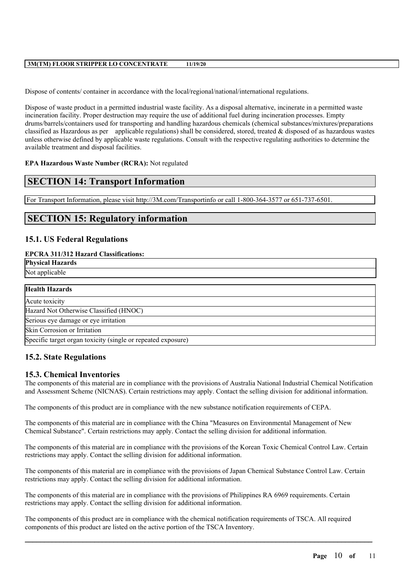Dispose of contents/ container in accordance with the local/regional/national/international regulations.

Dispose of waste product in a permitted industrial waste facility. As a disposal alternative, incinerate in a permitted waste incineration facility. Proper destruction may require the use of additional fuel during incineration processes. Empty drums/barrels/containers used for transporting and handling hazardous chemicals (chemical substances/mixtures/preparations classified as Hazardous as per applicable regulations) shall be considered, stored, treated  $\&$  disposed of as hazardous wastes unless otherwise defined by applicable waste regulations. Consult with the respective regulating authorities to determine the available treatment and disposal facilities.

## **EPA Hazardous Waste Number (RCRA):** Not regulated

# **SECTION 14: Transport Information**

For Transport Information, please visit http://3M.com/Transportinfo or call 1-800-364-3577 or 651-737-6501.

## **SECTION 15: Regulatory information**

## **15.1. US Federal Regulations**

## **EPCRA 311/312 Hazard Classifications:**

**Physical Hazards**

Not applicable

| <b>Health Hazards</b>                                        |
|--------------------------------------------------------------|
| Acute toxicity                                               |
| Hazard Not Otherwise Classified (HNOC)                       |
| Serious eye damage or eye irritation                         |
| Skin Corrosion or Irritation                                 |
| Specific target organ toxicity (single or repeated exposure) |

## **15.2. State Regulations**

## **15.3. Chemical Inventories**

The components of this material are in compliance with the provisions of Australia National Industrial Chemical Notification and Assessment Scheme (NICNAS). Certain restrictions may apply. Contact the selling division for additional information.

The components of this product are in compliance with the new substance notification requirements of CEPA.

The components of this material are in compliance with the China "Measures on Environmental Management of New Chemical Substance". Certain restrictions may apply. Contact the selling division for additional information.

The components of this material are in compliance with the provisions of the Korean Toxic Chemical Control Law. Certain restrictions may apply. Contact the selling division for additional information.

The components of this material are in compliance with the provisions of Japan Chemical Substance Control Law. Certain restrictions may apply. Contact the selling division for additional information.

The components of this material are in compliance with the provisions of Philippines RA 6969 requirements. Certain restrictions may apply. Contact the selling division for additional information.

The components of this product are in compliance with the chemical notification requirements of TSCA. All required components of this product are listed on the active portion of the TSCA Inventory.